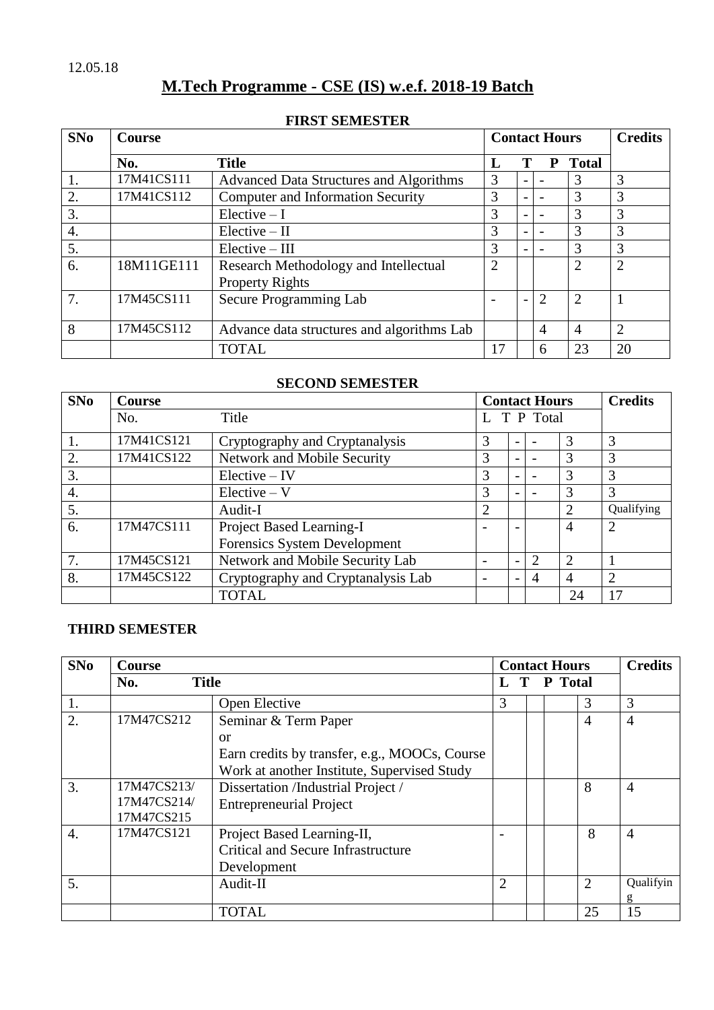# **M.Tech Programme - CSE (IS) w.e.f. 2018-19 Batch**

## **FIRST SEMESTER**

| SNo | <b>Course</b> |                                                |                | <b>Contact Hours</b> | <b>Credits</b>              |                |                |
|-----|---------------|------------------------------------------------|----------------|----------------------|-----------------------------|----------------|----------------|
|     | No.           | <b>Title</b>                                   |                |                      | Р                           | <b>Total</b>   |                |
|     | 17M41CS111    | <b>Advanced Data Structures and Algorithms</b> | 3              |                      |                             | 3              | 3              |
| 2.  | 17M41CS112    | <b>Computer and Information Security</b>       | 3              |                      |                             | 3              | 3              |
| 3.  |               | $Electric - I$                                 | 3              |                      |                             | 3              | 3              |
| 4.  |               | $Electric - II$                                | 3              |                      |                             | 3              | 3              |
| 5.  |               | $Elective - III$                               | 3              |                      |                             | 3              | 3              |
| 6.  | 18M11GE111    | Research Methodology and Intellectual          | $\overline{2}$ |                      |                             | $\overline{2}$ | $\overline{2}$ |
|     |               | <b>Property Rights</b>                         |                |                      |                             |                |                |
| 7.  | 17M45CS111    | Secure Programming Lab                         |                |                      | $\mathcal{D}_{\mathcal{L}}$ | $\overline{2}$ |                |
| 8   | 17M45CS112    | Advance data structures and algorithms Lab     |                |                      | 4                           | 4              | $\overline{2}$ |
|     |               | <b>TOTAL</b>                                   | 17             |                      | 6                           | 23             | 20             |

# **SECOND SEMESTER**

| SNo | <b>Course</b> |                                    |                | <b>Contact Hours</b>     | <b>Credits</b> |                |                |
|-----|---------------|------------------------------------|----------------|--------------------------|----------------|----------------|----------------|
|     | No.           | Title                              |                |                          | T P Total      |                |                |
| 1.  | 17M41CS121    | Cryptography and Cryptanalysis     | 3              | $\overline{\phantom{0}}$ |                | 3              | 3              |
| 2.  | 17M41CS122    | Network and Mobile Security        | 3              | $\overline{\phantom{0}}$ |                | 3              | 3              |
| 3.  |               | $Electric - IV$                    | 3              | $\overline{\phantom{0}}$ |                | 3              | 3              |
| 4.  |               | $Electric-V$                       | 3              |                          |                | 3              | 3              |
| 5.  |               | Audit-I                            | $\overline{2}$ |                          |                | $\overline{2}$ | Qualifying     |
| 6.  | 17M47CS111    | Project Based Learning-I           |                |                          |                | 4              | 2              |
|     |               | Forensics System Development       |                |                          |                |                |                |
| 7.  | 17M45CS121    | Network and Mobile Security Lab    |                |                          | 2              | 2              |                |
| 8.  | 17M45CS122    | Cryptography and Cryptanalysis Lab |                |                          | 4              | 4              | $\overline{2}$ |
|     |               | <b>TOTAL</b>                       |                |                          |                | 24             | 17             |

# **THIRD SEMESTER**

| SNo              | Course              |                                               |                | <b>Contact Hours</b> | <b>Credits</b> |                |                |
|------------------|---------------------|-----------------------------------------------|----------------|----------------------|----------------|----------------|----------------|
|                  | <b>Title</b><br>No. |                                               | T P Total<br>L |                      |                |                |                |
| 1.               |                     | Open Elective                                 | 3              |                      |                | 3              | 3              |
| 2.               | 17M47CS212          | Seminar & Term Paper                          |                |                      |                | $\overline{4}$ | $\overline{4}$ |
|                  |                     | <sub>or</sub>                                 |                |                      |                |                |                |
|                  |                     | Earn credits by transfer, e.g., MOOCs, Course |                |                      |                |                |                |
|                  |                     | Work at another Institute, Supervised Study   |                |                      |                |                |                |
| 3.               | 17M47CS213/         | Dissertation /Industrial Project /            |                |                      |                | 8              | $\overline{4}$ |
|                  | 17M47CS214/         | <b>Entrepreneurial Project</b>                |                |                      |                |                |                |
|                  | 17M47CS215          |                                               |                |                      |                |                |                |
| $\overline{4}$ . | 17M47CS121          | Project Based Learning-II,                    |                |                      |                | 8              | $\overline{4}$ |
|                  |                     | Critical and Secure Infrastructure            |                |                      |                |                |                |
|                  |                     | Development                                   |                |                      |                |                |                |
| 5.               |                     | Audit-II                                      | 2              |                      |                | $\overline{2}$ | Qualifyin      |
|                  |                     |                                               |                |                      |                |                | g              |
|                  |                     | <b>TOTAL</b>                                  |                |                      |                | 25             | 15             |